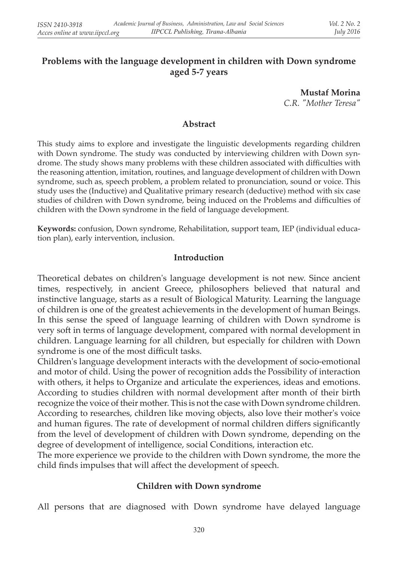### **Problems with the language development in children with Down syndrome aged 5-7 years**

**Mustaf Morina** 

*C.R. "Mother Teresa"*

#### **Abstract**

This study aims to explore and investigate the linguistic developments regarding children with Down syndrome. The study was conducted by interviewing children with Down syndrome. The study shows many problems with these children associated with difficulties with the reasoning attention, imitation, routines, and language development of children with Down syndrome, such as, speech problem, a problem related to pronunciation, sound or voice. This study uses the (Inductive) and Qualitative primary research (deductive) method with six case studies of children with Down syndrome, being induced on the Problems and difficulties of children with the Down syndrome in the field of language development.

**Keywords:** confusion, Down syndrome, Rehabilitation, support team, IEP (individual education plan), early intervention, inclusion.

#### **Introduction**

Theoretical debates on children's language development is not new. Since ancient times, respectively, in ancient Greece, philosophers believed that natural and instinctive language, starts as a result of Biological Maturity. Learning the language of children is one of the greatest achievements in the development of human Beings. In this sense the speed of language learning of children with Down syndrome is very soft in terms of language development, compared with normal development in children. Language learning for all children, but especially for children with Down syndrome is one of the most difficult tasks.

Children's language development interacts with the development of socio-emotional and motor of child. Using the power of recognition adds the Possibility of interaction with others, it helps to Organize and articulate the experiences, ideas and emotions. According to studies children with normal development after month of their birth recognize the voice of their mother. This is not the case with Down syndrome children. According to researches, children like moving objects, also love their mother's voice and human figures. The rate of development of normal children differs significantly from the level of development of children with Down syndrome, depending on the degree of development of intelligence, social Conditions, interaction etc.

The more experience we provide to the children with Down syndrome, the more the child finds impulses that will affect the development of speech.

### **Children with Down syndrome**

All persons that are diagnosed with Down syndrome have delayed language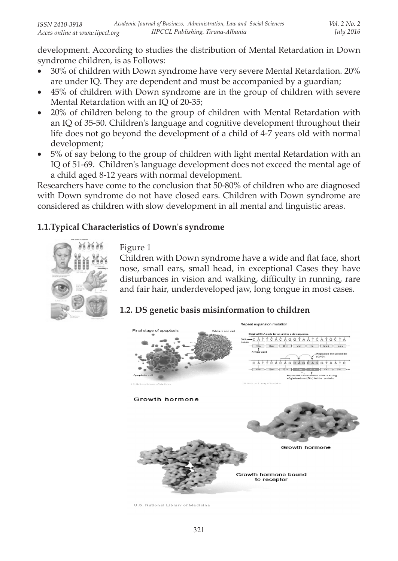development. According to studies the distribution of Mental Retardation in Down syndrome children, is as Follows:

- 30% of children with Down syndrome have very severe Mental Retardation. 20% are under IQ. They are dependent and must be accompanied by a guardian;
- 45% of children with Down syndrome are in the group of children with severe Mental Retardation with an IQ of 20-35;
- 20% of children belong to the group of children with Mental Retardation with an IQ of 35-50. Children's language and cognitive development throughout their life does not go beyond the development of a child of 4-7 years old with normal development;
- • 5% of say belong to the group of children with light mental Retardation with an IQ of 51-69. Children's language development does not exceed the mental age of a child aged 8-12 years with normal development.

Researchers have come to the conclusion that 50-80% of children who are diagnosed with Down syndrome do not have closed ears. Children with Down syndrome are considered as children with slow development in all mental and linguistic areas.

## **1.1.Typical Characteristics of Down's syndrome**



Figure 1

Children with Down syndrome have a wide and flat face, short nose, small ears, small head, in exceptional Cases they have disturbances in vision and walking, difficulty in running, rare and fair hair, underdeveloped jaw, long tongue in most cases.

# **1.2. DS genetic basis misinformation to children**



U.S. National Library of Medicine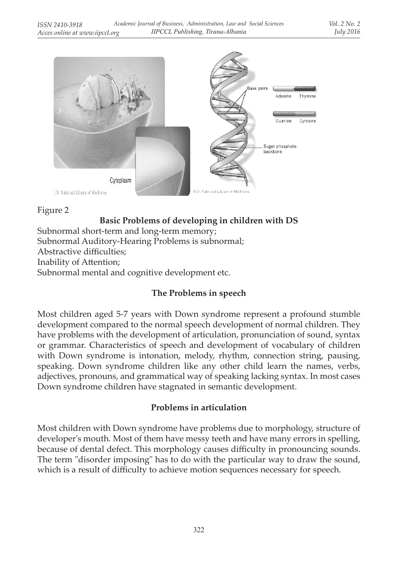

Figure 2

# **Basic Problems of developing in children with DS**

Subnormal short-term and long-term memory; Subnormal Auditory-Hearing Problems is subnormal; Abstractive difficulties; Inability of Attention;

Subnormal mental and cognitive development etc.

## **The Problems in speech**

Most children aged 5-7 years with Down syndrome represent a profound stumble development compared to the normal speech development of normal children. They have problems with the development of articulation, pronunciation of sound, syntax or grammar. Characteristics of speech and development of vocabulary of children with Down syndrome is intonation, melody, rhythm, connection string, pausing, speaking. Down syndrome children like any other child learn the names, verbs, adjectives, pronouns, and grammatical way of speaking lacking syntax. In most cases Down syndrome children have stagnated in semantic development.

## **Problems in articulation**

Most children with Down syndrome have problems due to morphology, structure of developer's mouth. Most of them have messy teeth and have many errors in spelling, because of dental defect. This morphology causes difficulty in pronouncing sounds. The term "disorder imposing" has to do with the particular way to draw the sound, which is a result of difficulty to achieve motion sequences necessary for speech.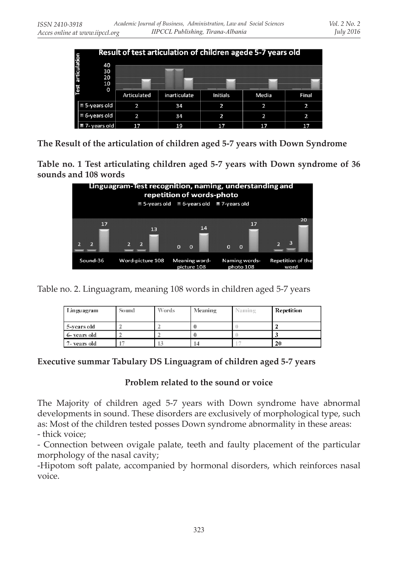|                   | Result of test articulation of children agede 5-7 years old |             |              |          |       |       |  |  |
|-------------------|-------------------------------------------------------------|-------------|--------------|----------|-------|-------|--|--|
| Test articulation | 40<br>30<br>20<br>10<br>0                                   |             |              |          |       |       |  |  |
|                   |                                                             | Articulated | inarticulate | Initials | Media | Final |  |  |
|                   | 5-years old                                                 | 2           | 34           | 2        | 2     | 2     |  |  |
|                   | 6-years old                                                 | 2           | 34           | 2        | 2     | 2     |  |  |
|                   | vears old.                                                  | 17          | 19           | 17       | 17    | 17    |  |  |

**The Result of the articulation of children aged 5-7 years with Down Syndrome**

**Table no. 1 Test articulating children aged 5-7 years with Down syndrome of 36 sounds and 108 words**



Table no. 2. Linguagram, meaning 108 words in children aged 5-7 years

| Linguagram   | Sound | Words | Meaning | Vaming | <b>Repetition</b> |
|--------------|-------|-------|---------|--------|-------------------|
| 5-years old  |       |       |         |        |                   |
| 6- years old |       |       |         |        |                   |
| 7- vears old |       |       | 14      |        | 20                |

### **Executive summar Tabulary DS Linguagram of children aged 5-7 years**

### **Problem related to the sound or voice**

The Majority of children aged 5-7 years with Down syndrome have abnormal developments in sound. These disorders are exclusively of morphological type, such as: Most of the children tested posses Down syndrome abnormality in these areas:

- thick voice;

- Connection between ovigale palate, teeth and faulty placement of the particular morphology of the nasal cavity;

-Hipotom soft palate, accompanied by hormonal disorders, which reinforces nasal voice.